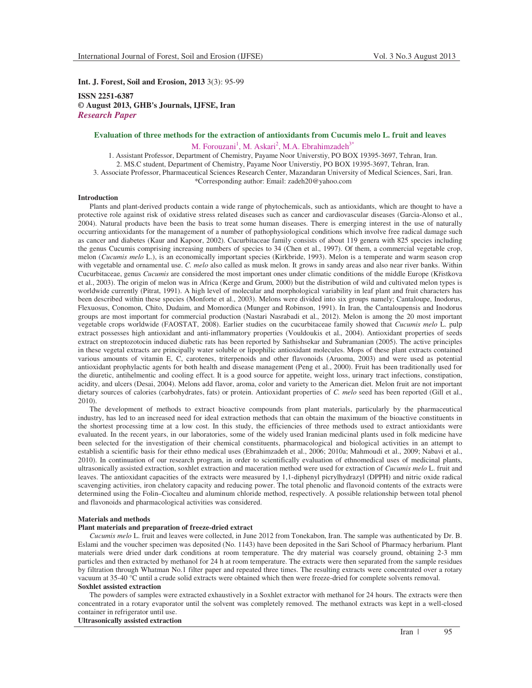**Int. J. Forest, Soil and Erosion, 2013** 3(3): 95-99

**ISSN 2251-6387 © August 2013, GHB's Journals, IJFSE, Iran** *Research Paper* 

# **Evaluation of three methods for the extraction of antioxidants from Cucumis melo L. fruit and leaves**  M. Forouzani<sup>1</sup>, M. Askari<sup>2</sup>, M.A. Ebrahimzadeh<sup>3\*</sup>

1. Assistant Professor, Department of Chemistry, Payame Noor Universtiy, PO BOX 19395-3697, Tehran, Iran. 2. MS.C student, Department of Chemistry, Payame Noor Universtiy, PO BOX 19395-3697, Tehran, Iran. 3. Associate Professor, Pharmaceutical Sciences Research Center, Mazandaran University of Medical Sciences, Sari, Iran. \*Corresponding author: Email: zadeh20@yahoo.com

# **Introduction**

Plants and plant-derived products contain a wide range of phytochemicals, such as antioxidants, which are thought to have a protective role against risk of oxidative stress related diseases such as cancer and cardiovascular diseases (Garcia-Alonso et al., 2004). Natural products have been the basis to treat some human diseases. There is emerging interest in the use of naturally occurring antioxidants for the management of a number of pathophysiological conditions which involve free radical damage such as cancer and diabetes (Kaur and Kapoor, 2002). Cucurbitaceae family consists of about 119 genera with 825 species including the genus Cucumis comprising increasing numbers of species to 34 (Chen et al., 1997). Of them, a commercial vegetable crop, melon (*Cucumis melo* L.), is an economically important species (Kirkbride, 1993). Melon is a temperate and warm season crop with vegetable and ornamental use. *C. melo* also called as musk melon. It grows in sandy areas and also near river banks. Within Cucurbitaceae, genus *Cucumis* are considered the most important ones under climatic conditions of the middle Europe (Křistkova et al., 2003). The origin of melon was in Africa (Kerge and Grum, 2000) but the distribution of wild and cultivated melon types is worldwide currently (Pitrat, 1991). A high level of molecular and morphological variability in leaf plant and fruit characters has been described within these species (Monforte et al., 2003). Melons were divided into six groups namely; Cantaloupe, Inodorus, Flexuosus, Conomon, Chito, Dudaim, and Momordica (Munger and Robinson, 1991). In Iran, the Cantaloupensis and Inodorus groups are most important for commercial production (Nastari Nasrabadi et al., 2012). Melon is among the 20 most important vegetable crops worldwide (FAOSTAT, 2008). Earlier studies on the cucurbitaceae family showed that *Cucumis melo* L. pulp extract possesses high antioxidant and anti-inflammatory properties (Vouldoukis et al., 2004). Antioxidant properties of seeds extract on streptozotocin induced diabetic rats has been reported by Sathishsekar and Subramanian (2005). The active principles in these vegetal extracts are principally water soluble or lipophilic antioxidant molecules. Mops of these plant extracts contained various amounts of vitamin E, C, carotenes, triterpenoids and other flavonoids (Aruoma, 2003) and were used as potential antioxidant prophylactic agents for both health and disease management (Peng et al., 2000). Fruit has been traditionally used for the diuretic, antihelmentic and cooling effect. It is a good source for appetite, weight loss, urinary tract infections, constipation, acidity, and ulcers (Desai, 2004). Melons add flavor, aroma, color and variety to the American diet. Melon fruit are not important dietary sources of calories (carbohydrates, fats) or protein. Antioxidant properties of *C. melo* seed has been reported (Gill et al., 2010).

The development of methods to extract bioactive compounds from plant materials, particularly by the pharmaceutical industry, has led to an increased need for ideal extraction methods that can obtain the maximum of the bioactive constituents in the shortest processing time at a low cost. In this study, the efficiencies of three methods used to extract antioxidants were evaluated. In the recent years, in our laboratories, some of the widely used Iranian medicinal plants used in folk medicine have been selected for the investigation of their chemical constituents, pharmacological and biological activities in an attempt to establish a scientific basis for their ethno medical uses (Ebrahimzadeh et al., 2006; 2010a; Mahmoudi et al., 2009; Nabavi et al., 2010). In continuation of our research program, in order to scientifically evaluation of ethnomedical uses of medicinal plants, ultrasonically assisted extraction, soxhlet extraction and maceration method were used for extraction of *Cucumis melo* L. fruit and leaves. The antioxidant capacities of the extracts were measured by 1,1-diphenyl picrylhydrazyl (DPPH) and nitric oxide radical scavenging activities, iron chelatory capacity and reducing power. The total phenolic and flavonoid contents of the extracts were determined using the Folin–Ciocalteu and aluminum chloride method, respectively. A possible relationship between total phenol and flavonoids and pharmacological activities was considered.

# **Materials and methods**

# **Plant materials and preparation of freeze-dried extract**

*Cucumis melo* L. fruit and leaves were collected, in June 2012 from Tonekabon, Iran. The sample was authenticated by Dr. B. Eslami and the voucher specimen was deposited (No. 1143) have been deposited in the Sari School of Pharmacy herbarium. Plant materials were dried under dark conditions at room temperature. The dry material was coarsely ground, obtaining 2-3 mm particles and then extracted by methanol for 24 h at room temperature. The extracts were then separated from the sample residues by filtration through Whatman No.1 filter paper and repeated three times. The resulting extracts were concentrated over a rotary vacuum at 35-40 °C until a crude solid extracts were obtained which then were freeze-dried for complete solvents removal. **Soxhlet assisted extraction** 

The powders of samples were extracted exhaustively in a Soxhlet extractor with methanol for 24 hours. The extracts were then concentrated in a rotary evaporator until the solvent was completely removed. The methanol extracts was kept in a well-closed container in refrigerator until use.

### **Ultrasonically assisted extraction**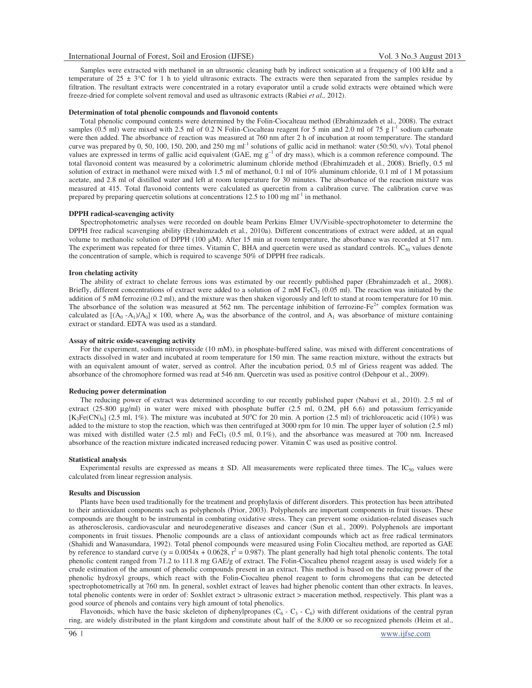Samples were extracted with methanol in an ultrasonic cleaning bath by indirect sonication at a frequency of 100 kHz and a temperature of 25  $\pm$  3°C for 1 h to yield ultrasonic extracts. The extracts were then separated from the samples residue by filtration. The resultant extracts were concentrated in a rotary evaporator until a crude solid extracts were obtained which were freeze-dried for complete solvent removal and used as ultrasonic extracts (Rabiei *et al.,* 2012).

#### **Determination of total phenolic compounds and flavonoid contents**

Total phenolic compound contents were determined by the Folin-Ciocalteau method (Ebrahimzadeh et al., 2008). The extract samples (0.5 ml) were mixed with 2.5 ml of 0.2 N Folin-Ciocalteau reagent for 5 min and 2.0 ml of 75 g  $1<sup>-1</sup>$  sodium carbonate were then added. The absorbance of reaction was measured at 760 nm after 2 h of incubation at room temperature. The standard curve was prepared by 0, 50, 100, 150, 200, and 250 mg ml<sup>-1</sup> solutions of gallic acid in methanol: water (50:50, v/v). Total phenol values are expressed in terms of gallic acid equivalent (GAE, mg  $g^{-1}$  of dry mass), which is a common reference compound. The total flavonoid content was measured by a colorimetric aluminum chloride method (Ebrahimzadeh et al., 2008). Briefly, 0.5 ml solution of extract in methanol were mixed with 1.5 ml of methanol, 0.1 ml of 10% aluminum chloride, 0.1 ml of 1 M potassium acetate, and 2.8 ml of distilled water and left at room temperature for 30 minutes. The absorbance of the reaction mixture was measured at 415. Total flavonoid contents were calculated as quercetin from a calibration curve. The calibration curve was prepared by preparing quercetin solutions at concentrations 12.5 to 100 mg ml<sup>-1</sup> in methanol.

# **DPPH radical-scavenging activity**

Spectrophotometric analyses were recorded on double beam Perkins Elmer UV/Visible*-*spectrophotometer to determine the DPPH free radical scavenging ability (Ebrahimzadeh et al., 2010a). Different concentrations of extract were added, at an equal volume to methanolic solution of DPPH (100  $\mu$ M). After 15 min at room temperature, the absorbance was recorded at 517 nm. The experiment was repeated for three times. Vitamin C, BHA and quercetin were used as standard controls.  $IC_{50}$  values denote the concentration of sample, which is required to scavenge 50% of DPPH free radicals.

#### **Iron chelating activity**

The ability of extract to chelate ferrous ions was estimated by our recently published paper (Ebrahimzadeh et al., 2008). Briefly, different concentrations of extract were added to a solution of 2 mM FeCl<sub>2</sub> (0.05 ml). The reaction was initiated by the addition of 5 mM ferrozine (0.2 ml), and the mixture was then shaken vigorously and left to stand at room temperature for 10 min. The absorbance of the solution was measured at 562 nm. The percentage inhibition of ferrozine-Fe<sup>2+</sup> complex formation was calculated as  $[(A_0 - A_1)/A_0] \times 100$ , where  $A_0$  was the absorbance of the control, and  $A_1$  was absorbance of mixture containing extract or standard. EDTA was used as a standard.

#### **Assay of nitric oxide-scavenging activity**

For the experiment, sodium nitroprusside (10 mM), in phosphate-buffered saline, was mixed with different concentrations of extracts dissolved in water and incubated at room temperature for 150 min. The same reaction mixture, without the extracts but with an equivalent amount of water, served as control. After the incubation period, 0.5 ml of Griess reagent was added. The absorbance of the chromophore formed was read at 546 nm. Quercetin was used as positive control (Dehpour et al., 2009).

#### **Reducing power determination**

The reducing power of extract was determined according to our recently published paper (Nabavi et al., 2010). 2.5 ml of extract (25-800 µg/ml) in water were mixed with phosphate buffer (2.5 ml, 0.2M, pH 6.6) and potassium ferricyanide  $[K_3Fe(CN)_6]$  (2.5 ml, 1%). The mixture was incubated at 50°C for 20 min. A portion (2.5 ml) of trichloroacetic acid (10%) was added to the mixture to stop the reaction, which was then centrifuged at 3000 rpm for 10 min. The upper layer of solution (2.5 ml) was mixed with distilled water  $(2.5 \text{ ml})$  and FeCl<sub>3</sub>  $(0.5 \text{ ml}, 0.1\%)$ , and the absorbance was measured at 700 nm. Increased absorbance of the reaction mixture indicated increased reducing power. Vitamin C was used as positive control.

#### **Statistical analysis**

Experimental results are expressed as means  $\pm$  SD. All measurements were replicated three times. The IC<sub>50</sub> values were calculated from linear regression analysis.

### **Results and Discussion**

Plants have been used traditionally for the treatment and prophylaxis of different disorders. This protection has been attributed to their antioxidant components such as polyphenols (Prior, 2003). Polyphenols are important components in fruit tissues. These compounds are thought to be instrumental in combating oxidative stress. They can prevent some oxidation-related diseases such as atherosclerosis, cardiovascular and neurodegenerative diseases and cancer (Sun et al., 2009). Polyphenols are important components in fruit tissues. Phenolic compounds are a class of antioxidant compounds which act as free radical terminators (Shahidi and Wanasundara, 1992). Total phenol compounds were measured using Folin Ciocalteu method, are reported as GAE by reference to standard curve ( $y = 0.0054x + 0.0628$ ,  $r^2 = 0.987$ ). The plant generally had high total phenolic contents. The total phenolic content ranged from 71.2 to 111.8 mg GAE/g of extract. The Folin-Ciocalteu phenol reagent assay is used widely for a crude estimation of the amount of phenolic compounds present in an extract. This method is based on the reducing power of the phenolic hydroxyl groups, which react with the Folin-Ciocalteu phenol reagent to form chromogens that can be detected spectrophotometrically at 760 nm. In general, soxhlet extract of leaves had higher phenolic content than other extracts. In leaves, total phenolic contents were in order of: Soxhlet extract > ultrasonic extract > maceration method, respectively. This plant was a good source of phenols and contains very high amount of total phenolics.

Flavonoids, which have the basic skeleton of diphenylpropanes  $(C_6 - C_3 - C_6)$  with different oxidations of the central pyran ring, are widely distributed in the plant kingdom and constitute about half of the 8,000 or so recognized phenols (Heim et al.,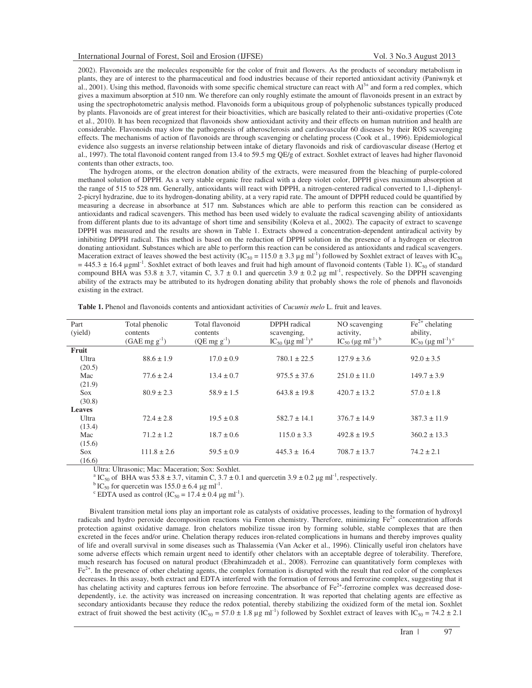2002). Flavonoids are the molecules responsible for the color of fruit and flowers. As the products of secondary metabolism in plants, they are of interest to the pharmaceutical and food industries because of their reported antioxidant activity (Paniwnyk et al., 2001). Using this method, flavonoids with some specific chemical structure can react with  $Al<sup>3+</sup>$  and form a red complex, which gives a maximum absorption at 510 nm. We therefore can only roughly estimate the amount of flavonoids present in an extract by using the spectrophotometric analysis method. Flavonoids form a ubiquitous group of polyphenolic substances typically produced by plants. Flavonoids are of great interest for their bioactivities, which are basically related to their anti-oxidative properties (Cote et al., 2010). It has been recognized that flavonoids show antioxidant activity and their effects on human nutrition and health are considerable. Flavonoids may slow the pathogenesis of atherosclerosis and cardiovascular 60 diseases by their ROS scavenging effects. The mechanisms of action of flavonoids are through scavenging or chelating process (Cook et al., 1996). Epidemiological evidence also suggests an inverse relationship between intake of dietary flavonoids and risk of cardiovascular disease (Hertog et al., 1997). The total flavonoid content ranged from 13.4 to 59.5 mg QE/g of extract. Soxhlet extract of leaves had higher flavonoid contents than other extracts, too.

The hydrogen atoms, or the electron donation ability of the extracts, were measured from the bleaching of purple-colored methanol solution of DPPH. As a very stable organic free radical with a deep violet color, DPPH gives maximum absorption at the range of 515 to 528 nm. Generally, antioxidants will react with DPPH, a nitrogen-centered radical converted to 1,1-diphenyl-2-picryl hydrazine, due to its hydrogen-donating ability, at a very rapid rate. The amount of DPPH reduced could be quantified by measuring a decrease in absorbance at 517 nm. Substances which are able to perform this reaction can be considered as antioxidants and radical scavengers. This method has been used widely to evaluate the radical scavenging ability of antioxidants from different plants due to its advantage of short time and sensibility (Koleva et al., 2002). The capacity of extract to scavenge DPPH was measured and the results are shown in Table 1. Extracts showed a concentration-dependent antiradical activity by inhibiting DPPH radical. This method is based on the reduction of DPPH solution in the presence of a hydrogen or electron donating antioxidant. Substances which are able to perform this reaction can be considered as antioxidants and radical scavengers. Maceration extract of leaves showed the best activity (IC<sub>50</sub> = 115.0  $\pm$  3.3 µg ml<sup>-1</sup>) followed by Soxhlet extract of leaves with IC<sub>50</sub>  $= 445.3 \pm 16.4$  µgml<sup>-1</sup>. Soxhlet extract of both leaves and fruit had high amount of flavonoid contents (Table 1). IC<sub>50</sub> of standard compound BHA was  $53.8 \pm 3.7$ , vitamin C,  $3.7 \pm 0.1$  and quercetin  $3.9 \pm 0.2$  µg ml<sup>-1</sup>, respectively. So the DPPH scavenging ability of the extracts may be attributed to its hydrogen donating ability that probably shows the role of phenols and flavonoids existing in the extract.

| Part<br>(yield) | Total phenolic<br>contents | Total flavonoid<br>contents | DPPH radical                                                | NO scavenging<br>activity,                           | $\text{Fe}^{2+}$ chelating<br>ability,        |
|-----------------|----------------------------|-----------------------------|-------------------------------------------------------------|------------------------------------------------------|-----------------------------------------------|
|                 | $(GAE \text{ mg g}^{-1})$  | $(QE \text{ mg g}^{-1})$    | scavenging,<br>$IC_{50} (\mu g \text{ ml}^{-1})^{\text{a}}$ | IC <sub>50</sub> (µg ml <sup>-1</sup> ) <sup>b</sup> | $IC_{50}$ (µg ml <sup>-1</sup> ) <sup>c</sup> |
| Fruit           |                            |                             |                                                             |                                                      |                                               |
| Ultra           | $88.6 \pm 1.9$             | $17.0 \pm 0.9$              | $780.1 \pm 22.5$                                            | $127.9 \pm 3.6$                                      | $92.0 \pm 3.5$                                |
| (20.5)          |                            |                             |                                                             |                                                      |                                               |
| Mac             | $77.6 \pm 2.4$             | $13.4 \pm 0.7$              | $975.5 \pm 37.6$                                            | $251.0 \pm 11.0$                                     | $149.7 \pm 3.9$                               |
| (21.9)          |                            |                             |                                                             |                                                      |                                               |
| <b>Sox</b>      | $80.9 \pm 2.3$             | $58.9 \pm 1.5$              | $643.8 \pm 19.8$                                            | $420.7 \pm 13.2$                                     | $57.0 \pm 1.8$                                |
| (30.8)          |                            |                             |                                                             |                                                      |                                               |
| <b>Leaves</b>   |                            |                             |                                                             |                                                      |                                               |
| Ultra           | $72.4 \pm 2.8$             | $19.5 \pm 0.8$              | $582.7 \pm 14.1$                                            | $376.7 \pm 14.9$                                     | $387.3 \pm 11.9$                              |
| (13.4)          |                            |                             |                                                             |                                                      |                                               |
| Mac             | $71.2 \pm 1.2$             | $18.7 \pm 0.6$              | $115.0 \pm 3.3$                                             | $492.8 \pm 19.5$                                     | $360.2 \pm 13.3$                              |
| (15.6)          |                            |                             |                                                             |                                                      |                                               |
| <b>Sox</b>      | $111.8 \pm 2.6$            | $59.5 \pm 0.9$              | $445.3 \pm 16.4$                                            | $708.7 \pm 13.7$                                     | $74.2 \pm 2.1$                                |
| (16.6)          |                            |                             |                                                             |                                                      |                                               |

**Table 1.** Phenol and flavonoids contents and antioxidant activities of *Cucumis melo* L. fruit and leaves.

Ultra: Ultrasonic; Mac: Maceration; Sox: Soxhlet.

<sup>a</sup> IC<sub>50</sub> of BHA was 53.8  $\pm$  3.7, vitamin C, 3.7  $\pm$  0.1 and quercetin 3.9  $\pm$  0.2 µg ml<sup>-1</sup>, respectively.

<sup>b</sup> IC<sub>50</sub> for quercetin was  $155.0 \pm 6.4$  µg ml<sup>-1</sup>.

<sup>c</sup> EDTA used as control (IC<sub>50</sub> = 17.4  $\pm$  0.4 µg ml<sup>-1</sup>).

Bivalent transition metal ions play an important role as catalysts of oxidative processes, leading to the formation of hydroxyl radicals and hydro peroxide decomposition reactions via Fenton chemistry. Therefore, minimizing  $Fe^{2+}$  concentration affords protection against oxidative damage. Iron chelators mobilize tissue iron by forming soluble, stable complexes that are then excreted in the feces and/or urine. Chelation therapy reduces iron-related complications in humans and thereby improves quality of life and overall survival in some diseases such as Thalassemia (Van Acker et al., 1996). Clinically useful iron chelators have some adverse effects which remain urgent need to identify other chelators with an acceptable degree of tolerability. Therefore, much research has focused on natural product (Ebrahimzadeh et al., 2008). Ferrozine can quantitatively form complexes with  $Fe<sup>2+</sup>$ . In the presence of other chelating agents, the complex formation is disrupted with the result that red color of the complexes decreases. In this assay, both extract and EDTA interfered with the formation of ferrous and ferrozine complex, suggesting that it has chelating activity and captures ferrous ion before ferrozine. The absorbance of  $Fe<sup>2+</sup>$ -ferrozine complex was decreased dosedependently, i.e. the activity was increased on increasing concentration. It was reported that chelating agents are effective as secondary antioxidants because they reduce the redox potential, thereby stabilizing the oxidized form of the metal ion. Soxhlet extract of fruit showed the best activity  $(IC_{50} = 57.0 \pm 1.8 \text{ µg m}^{-1})$  followed by Soxhlet extract of leaves with  $IC_{50} = 74.2 \pm 2.1$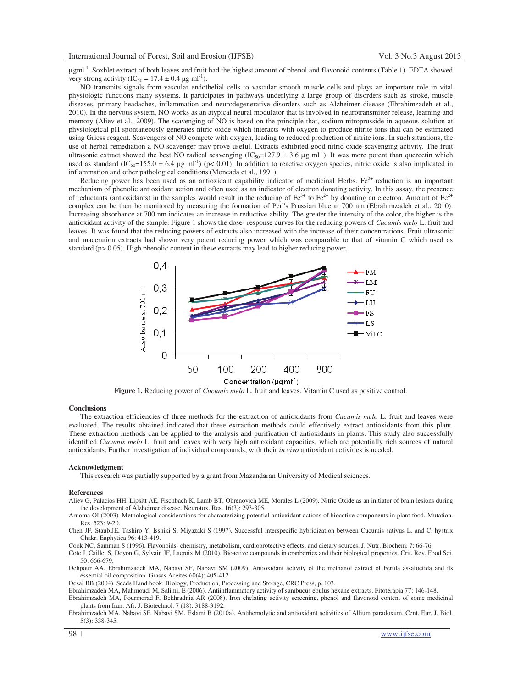µgml-1. Soxhlet extract of both leaves and fruit had the highest amount of phenol and flavonoid contents (Table 1). EDTA showed very strong activity  $(IC_{50} = 17.4 \pm 0.4 \mu g \text{ ml}^{-1})$ .

NO transmits signals from vascular endothelial cells to vascular smooth muscle cells and plays an important role in vital physiologic functions many systems. It participates in pathways underlying a large group of disorders such as stroke, muscle diseases, primary headaches, inflammation and neurodegenerative disorders such as Alzheimer disease (Ebrahimzadeh et al., 2010). In the nervous system, NO works as an atypical neural modulator that is involved in neurotransmitter release, learning and memory (Aliev et al., 2009). The scavenging of NO is based on the principle that, sodium nitroprusside in aqueous solution at physiological pH spontaneously generates nitric oxide which interacts with oxygen to produce nitrite ions that can be estimated using Griess reagent. Scavengers of NO compete with oxygen, leading to reduced production of nitrite ions. In such situations, the use of herbal remediation a NO scavenger may prove useful. Extracts exhibited good nitric oxide-scavenging activity. The fruit ultrasonic extract showed the best NO radical scavenging  $(IC_{50} = 127.9 \pm 3.6 \,\text{µg m}^{-1})$ . It was more potent than quercetin which used as standard (IC<sub>50</sub>=155.0  $\pm$  6.4 µg ml<sup>-1</sup>) (p< 0.01). In addition to reactive oxygen species, nitric oxide is also implicated in inflammation and other pathological conditions(Moncada et al., 1991).

Reducing power has been used as an antioxidant capability indicator of medicinal Herbs.  $Fe<sup>3+</sup>$  reduction is an important mechanism of phenolic antioxidant action and often used as an indicator of electron donating activity. In this assay, the presence of reductants (antioxidants) in the samples would result in the reducing of Fe<sup>3+</sup> to Fe<sup>2+</sup> by donating an electron. Amount of Fe<sup>2+</sup> complex can be then be monitored by measuring the formation of Perl's Prussian blue at 700 nm (Ebrahimzadeh et al., 2010). Increasing absorbance at 700 nm indicates an increase in reductive ability. The greater the intensity of the color, the higher is the antioxidant activity of the sample. Figure 1 shows the dose- response curves for the reducing powers of *Cucumis melo* L. fruit and leaves. It was found that the reducing powers of extracts also increased with the increase of their concentrations. Fruit ultrasonic and maceration extracts had shown very potent reducing power which was comparable to that of vitamin C which used as standard (p> 0.05). High phenolic content in these extracts may lead to higher reducing power.



**Figure 1.** Reducing power of *Cucumis melo* L. fruit and leaves. Vitamin C used as positive control.

### **Conclusions**

The extraction efficiencies of three methods for the extraction of antioxidants from *Cucumis melo* L. fruit and leaves were evaluated. The results obtained indicated that these extraction methods could effectively extract antioxidants from this plant. These extraction methods can be applied to the analysis and purification of antioxidants in plants. This study also successfully identified *Cucumis melo* L. fruit and leaves with very high antioxidant capacities, which are potentially rich sources of natural antioxidants. Further investigation of individual compounds, with their *in vivo* antioxidant activities is needed.

#### **Acknowledgment**

This research was partially supported by a grant from Mazandaran University of Medical sciences.

#### **References**

Aliev G, Palacios HH, Lipsitt AE, Fischbach K, Lamb BT, Obrenovich ME, Morales L (2009). Nitric Oxide as an initiator of brain lesions during the development of Alzheimer disease. Neurotox. Res. 16(3): 293-305.

Aruoma OI (2003). Methological considerations for characterizing potential antioxidant actions of bioactive components in plant food. Mutation. Res. 523: 9-20.

Chen JF, Staub,JE, Tashiro Y, Isshiki S, Miyazaki S (1997). Successful interspecific hybridization between Cucumis sativus L. and C. hystrix Chakr. Euphytica 96: 413-419.

Cook NC, Samman S (1996). Flavonoids- chemistry, metabolism, cardioprotective effects, and dietary sources. J. Nutr. Biochem. 7: 66-76.

Cote J, Caillet S, Doyon G, Sylvain JF, Lacroix M (2010). Bioactive compounds in cranberries and their biological properties. Crit. Rev. Food Sci. 50: 666-679.

Dehpour AA, Ebrahimzadeh MA, Nabavi SF, Nabavi SM (2009). Antioxidant activity of the methanol extract of Ferula assafoetida and its essential oil composition. Grasas Aceites 60(4): 405-412.

Desai BB (2004). Seeds Hand book: Biology, Production, Processing and Storage, CRC Press, p. 103.

Ebrahimzadeh MA, Mahmoudi M, Salimi, E (2006). Antiinflammatory activity of sambucus ebulus hexane extracts. Fitoterapia 77: 146-148.

Ebrahimzadeh MA, Pourmorad F, Bekhradnia AR (2008). Iron chelating activity screening, phenol and flavonoid content of some medicinal plants from Iran. Afr. J. Biotechnol. 7 (18): 3188-3192.

Ebrahimzadeh MA, Nabavi SF, Nabavi SM, Eslami B (2010a). Antihemolytic and antioxidant activities of Allium paradoxum. Cent. Eur. J. Biol. 5(3): 338-345.